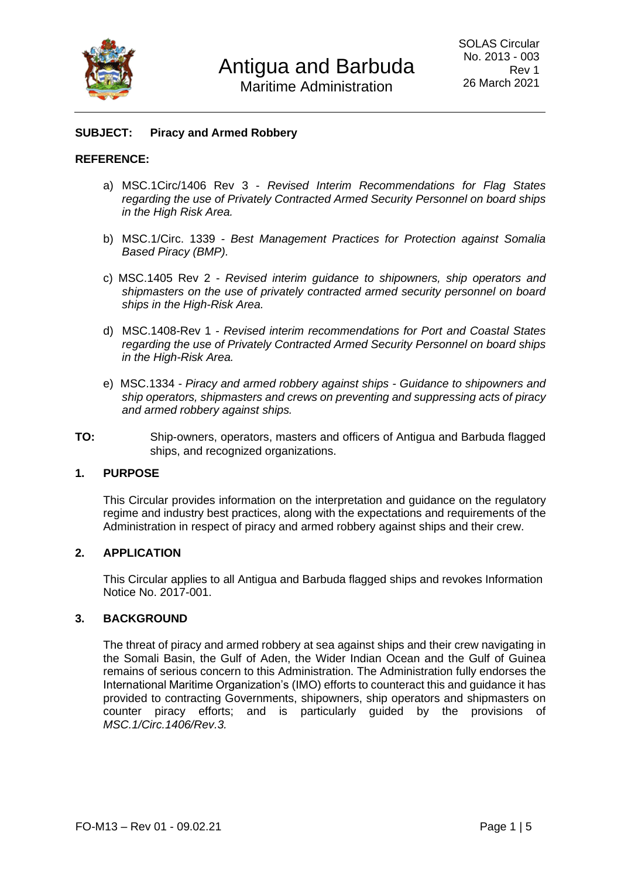

### **SUBJECT: Piracy and Armed Robbery**

#### **REFERENCE:**

- a) MSC.1Circ/1406 Rev 3 *Revised Interim Recommendations for Flag States regarding the use of Privately Contracted Armed Security Personnel on board ships in the High Risk Area.*
- b) MSC.1/Circ. 1339 *- Best Management Practices for Protection against Somalia Based Piracy (BMP).*
- c) MSC.1405 Rev 2 *Revised interim guidance to shipowners, ship operators and shipmasters on the use of privately contracted armed security personnel on board ships in the High-Risk Area.*
- d) MSC.1408-Rev 1 *- Revised interim recommendations for Port and Coastal States regarding the use of Privately Contracted Armed Security Personnel on board ships in the High-Risk Area.*
- e) MSC.1334 *- Piracy and armed robbery against ships - Guidance to shipowners and ship operators, shipmasters and crews on preventing and suppressing acts of piracy and armed robbery against ships.*
- **TO:** Ship-owners, operators, masters and officers of Antigua and Barbuda flagged ships, and recognized organizations.

### **1. PURPOSE**

This Circular provides information on the interpretation and guidance on the regulatory regime and industry best practices, along with the expectations and requirements of the Administration in respect of piracy and armed robbery against ships and their crew.

#### **2. APPLICATION**

This Circular applies to all Antigua and Barbuda flagged ships and revokes Information Notice No. 2017-001.

#### **3. BACKGROUND**

The threat of piracy and armed robbery at sea against ships and their crew navigating in the Somali Basin, the Gulf of Aden, the Wider Indian Ocean and the Gulf of Guinea remains of serious concern to this Administration. The Administration fully endorses the International Maritime Organization's (IMO) efforts to counteract this and guidance it has provided to contracting Governments, shipowners, ship operators and shipmasters on counter piracy efforts; and is particularly guided by the provisions of *MSC.1/Circ.1406/Rev.3.*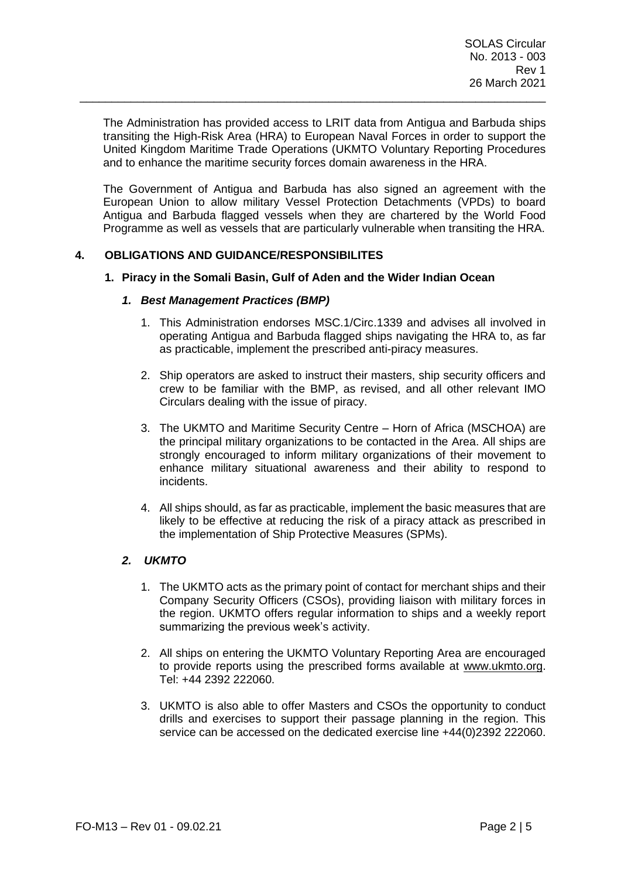The Administration has provided access to LRIT data from Antigua and Barbuda ships transiting the High-Risk Area (HRA) to European Naval Forces in order to support the United Kingdom Maritime Trade Operations (UKMTO Voluntary Reporting Procedures and to enhance the maritime security forces domain awareness in the HRA.

\_\_\_\_\_\_\_\_\_\_\_\_\_\_\_\_\_\_\_\_\_\_\_\_\_\_\_\_\_\_\_\_\_\_\_\_\_\_\_\_\_\_\_\_\_\_\_\_\_\_\_\_\_\_\_\_\_\_\_\_\_\_\_\_\_\_\_\_\_\_\_\_\_

The Government of Antigua and Barbuda has also signed an agreement with the European Union to allow military Vessel Protection Detachments (VPDs) to board Antigua and Barbuda flagged vessels when they are chartered by the World Food Programme as well as vessels that are particularly vulnerable when transiting the HRA.

## **4. OBLIGATIONS AND GUIDANCE/RESPONSIBILITES**

#### **1. Piracy in the Somali Basin, Gulf of Aden and the Wider Indian Ocean**

### *1. Best Management Practices (BMP)*

- 1. This Administration endorses MSC.1/Circ.1339 and advises all involved in operating Antigua and Barbuda flagged ships navigating the HRA to, as far as practicable, implement the prescribed anti-piracy measures.
- 2. Ship operators are asked to instruct their masters, ship security officers and crew to be familiar with the BMP, as revised, and all other relevant IMO Circulars dealing with the issue of piracy.
- 3. The UKMTO and Maritime Security Centre Horn of Africa (MSCHOA) are the principal military organizations to be contacted in the Area. All ships are strongly encouraged to inform military organizations of their movement to enhance military situational awareness and their ability to respond to incidents.
- 4. All ships should, as far as practicable, implement the basic measures that are likely to be effective at reducing the risk of a piracy attack as prescribed in the implementation of Ship Protective Measures (SPMs).

## *2. UKMTO*

- 1. The UKMTO acts as the primary point of contact for merchant ships and their Company Security Officers (CSOs), providing liaison with military forces in the region. UKMTO offers regular information to ships and a weekly report summarizing the previous week's activity.
- 2. All ships on entering the UKMTO Voluntary Reporting Area are encouraged to provide reports using the prescribed forms available at [www.ukmto.org.](http://www.ukmto.org/) Tel: +44 2392 222060.
- 3. UKMTO is also able to offer Masters and CSOs the opportunity to conduct drills and exercises to support their passage planning in the region. This service can be accessed on the dedicated exercise line +44(0)2392 222060.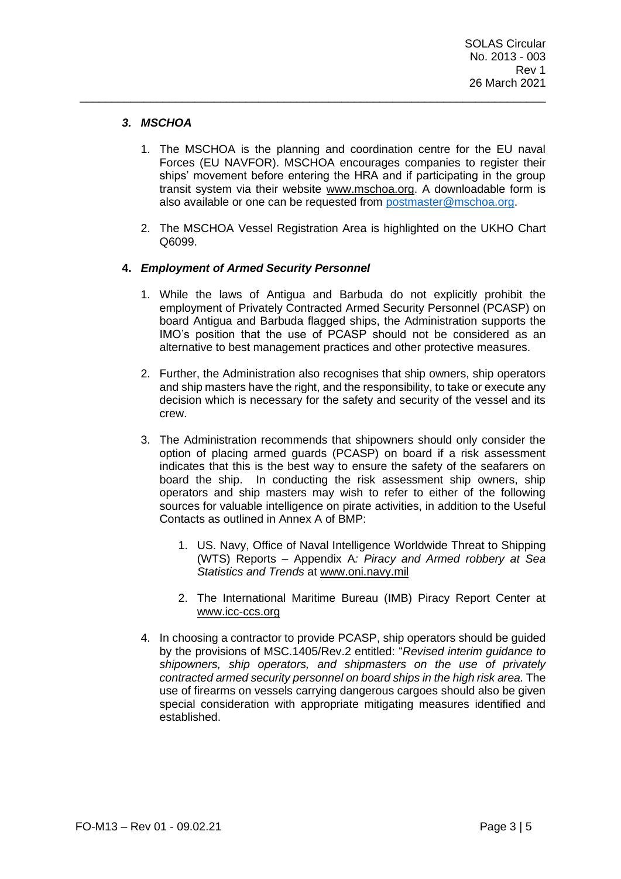# *3. MSCHOA*

1. The MSCHOA is the planning and coordination centre for the EU naval Forces (EU NAVFOR). MSCHOA encourages companies to register their ships' movement before entering the HRA and if participating in the group transit system via their website [www.mschoa.org.](http://www.mschoa.org/) A downloadable form is also available or one can be requested from [postmaster@mschoa.org.](mailto:postmaster@mschoa.org)

\_\_\_\_\_\_\_\_\_\_\_\_\_\_\_\_\_\_\_\_\_\_\_\_\_\_\_\_\_\_\_\_\_\_\_\_\_\_\_\_\_\_\_\_\_\_\_\_\_\_\_\_\_\_\_\_\_\_\_\_\_\_\_\_\_\_\_\_\_\_\_\_\_

2. The MSCHOA Vessel Registration Area is highlighted on the UKHO Chart Q6099.

## **4.** *Employment of Armed Security Personnel*

- 1. While the laws of Antigua and Barbuda do not explicitly prohibit the employment of Privately Contracted Armed Security Personnel (PCASP) on board Antigua and Barbuda flagged ships, the Administration supports the IMO's position that the use of PCASP should not be considered as an alternative to best management practices and other protective measures.
- 2. Further, the Administration also recognises that ship owners, ship operators and ship masters have the right, and the responsibility, to take or execute any decision which is necessary for the safety and security of the vessel and its crew.
- 3. The Administration recommends that shipowners should only consider the option of placing armed guards (PCASP) on board if a risk assessment indicates that this is the best way to ensure the safety of the seafarers on board the ship. In conducting the risk assessment ship owners, ship operators and ship masters may wish to refer to either of the following sources for valuable intelligence on pirate activities, in addition to the Useful Contacts as outlined in Annex A of BMP:
	- 1. US. Navy, Office of Naval Intelligence Worldwide Threat to Shipping (WTS) Reports – Appendix A*: Piracy and Armed robbery at Sea Statistics and Trends* at [www.oni.navy.mil](http://www.oni.navy.mil/)
	- 2. The International Maritime Bureau (IMB) Piracy Report Center at [www.icc-ccs.org](http://www.icc-ccs.org/)
- 4. In choosing a contractor to provide PCASP, ship operators should be guided by the provisions of MSC.1405/Rev.2 entitled: "*Revised interim guidance to shipowners, ship operators, and shipmasters on the use of privately contracted armed security personnel on board ships in the high risk area.* The use of firearms on vessels carrying dangerous cargoes should also be given special consideration with appropriate mitigating measures identified and established.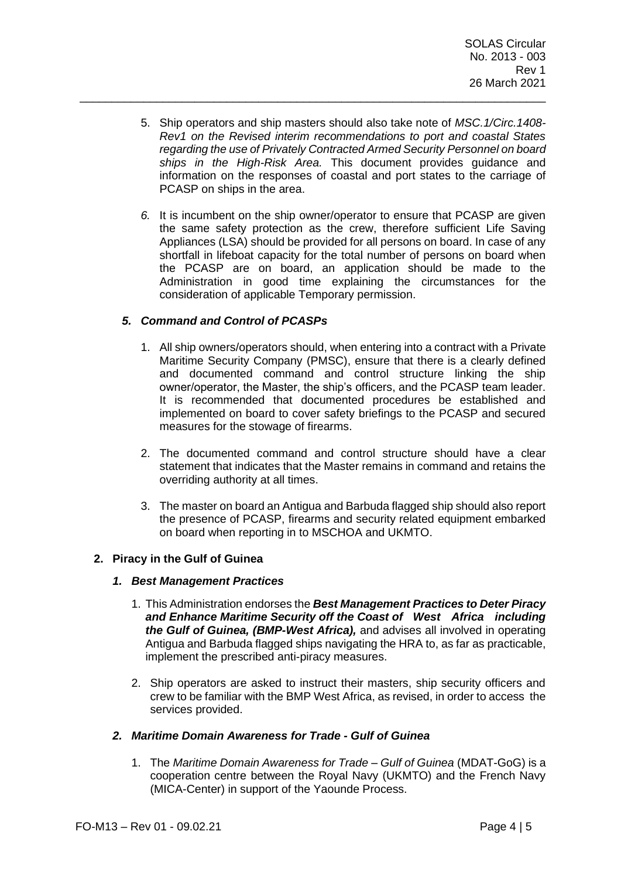5. Ship operators and ship masters should also take note of *MSC.1/Circ.1408- Rev1 on the Revised interim recommendations to port and coastal States regarding the use of Privately Contracted Armed Security Personnel on board ships in the High-Risk Area.* This document provides guidance and information on the responses of coastal and port states to the carriage of PCASP on ships in the area.

\_\_\_\_\_\_\_\_\_\_\_\_\_\_\_\_\_\_\_\_\_\_\_\_\_\_\_\_\_\_\_\_\_\_\_\_\_\_\_\_\_\_\_\_\_\_\_\_\_\_\_\_\_\_\_\_\_\_\_\_\_\_\_\_\_\_\_\_\_\_\_\_\_

*6.* It is incumbent on the ship owner/operator to ensure that PCASP are given the same safety protection as the crew, therefore sufficient Life Saving Appliances (LSA) should be provided for all persons on board. In case of any shortfall in lifeboat capacity for the total number of persons on board when the PCASP are on board, an application should be made to the Administration in good time explaining the circumstances for the consideration of applicable Temporary permission.

# *5. Command and Control of PCASPs*

- 1. All ship owners/operators should, when entering into a contract with a Private Maritime Security Company (PMSC), ensure that there is a clearly defined and documented command and control structure linking the ship owner/operator, the Master, the ship's officers, and the PCASP team leader. It is recommended that documented procedures be established and implemented on board to cover safety briefings to the PCASP and secured measures for the stowage of firearms.
- 2. The documented command and control structure should have a clear statement that indicates that the Master remains in command and retains the overriding authority at all times.
- 3. The master on board an Antigua and Barbuda flagged ship should also report the presence of PCASP, firearms and security related equipment embarked on board when reporting in to MSCHOA and UKMTO.

## **2. Piracy in the Gulf of Guinea**

## *1. Best Management Practices*

- 1. This Administration endorses the *Best Management Practices to Deter Piracy and Enhance Maritime Security off the Coast of West Africa including the Gulf of Guinea, (BMP-West Africa),* and advises all involved in operating Antigua and Barbuda flagged ships navigating the HRA to, as far as practicable, implement the prescribed anti-piracy measures.
- 2. Ship operators are asked to instruct their masters, ship security officers and crew to be familiar with the BMP West Africa, as revised, in order to access the services provided.

## *2. Maritime Domain Awareness for Trade - Gulf of Guinea*

1. The *Maritime Domain Awareness for Trade – Gulf of Guinea* (MDAT-GoG) is a cooperation centre between the Royal Navy (UKMTO) and the French Navy (MICA-Center) in support of the Yaounde Process.